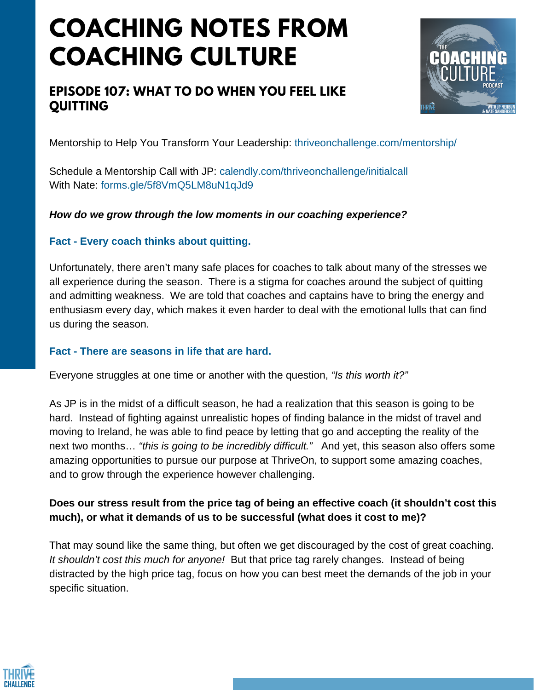# **COACHING NOTES FROM COACHING CULTURE**

# **EPISODE 107: WHAT TO DO WHEN YOU FEEL LIKE QUITTING**



Mentorship to Help You Transform Your Leadership: thriveonchallenge.com/mentorship/

Schedule a Mentorship Call with JP: calendly.com/thriveonchallenge/initialcall With Nate: forms.gle/5f8VmO5LM8uN1qJd9

#### *How do we grow through the low moments in our coaching experience?*

#### **Fact - Every coach thinks about quitting.**

Unfortunately, there aren't many safe places for coaches to talk about many of the stresses we all experience during the season. There is a stigma for coaches around the subject of quitting and admitting weakness. We are told that coaches and captains have to bring the energy and enthusiasm every day, which makes it even harder to deal with the emotional lulls that can find us during the season.

#### **Fact - There are seasons in life that are hard.**

Everyone struggles at one time or another with the question, *"Is this worth it?"*

As JP is in the midst of a difficult season, he had a realization that this season is going to be hard. Instead of fighting against unrealistic hopes of finding balance in the midst of travel and moving to Ireland, he was able to find peace by letting that go and accepting the reality of the next two months… *"this is going to be incredibly difficult."* And yet, this season also offers some amazing opportunities to pursue our purpose at ThriveOn, to support some amazing coaches, and to grow through the experience however challenging.

## **Does our stress result from the price tag of being an effective coach (it shouldn't cost this much), or what it demands of us to be successful (what does it cost to me)?**

That may sound like the same thing, but often we get discouraged by the cost of great coaching. *It shouldn't cost this much for anyone!* But that price tag rarely changes. Instead of being distracted by the high price tag, focus on how you can best meet the demands of the job in your specific situation.

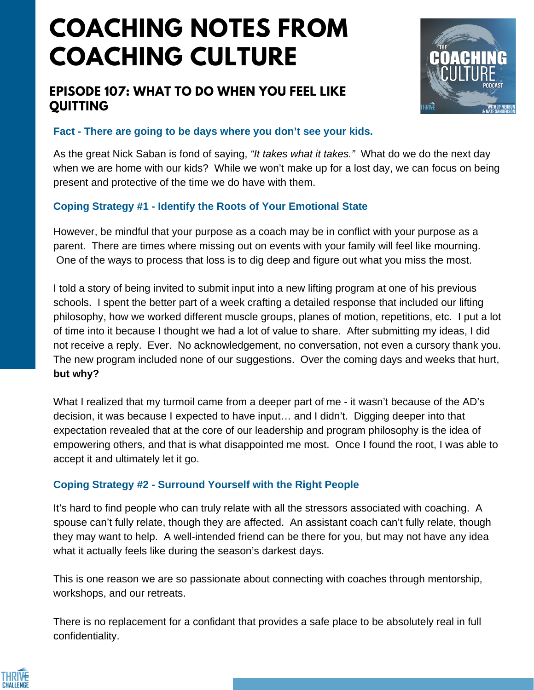# **COACHING NOTES FROM COACHING CULTURE**

# **EPISODE 107: WHAT TO DO WHEN YOU FEEL LIKE QUITTING**



## **Fact - There are going to be days where you don't see your kids.**

As the great Nick Saban is fond of saying, *"It takes what it takes."* What do we do the next day when we are home with our kids? While we won't make up for a lost day, we can focus on being present and protective of the time we do have with them.

## **Coping Strategy #1 - Identify the Roots of Your Emotional State**

However, be mindful that your purpose as a coach may be in conflict with your purpose as a parent. There are times where missing out on events with your family will feel like mourning. One of the ways to process that loss is to dig deep and figure out what you miss the most.

I told a story of being invited to submit input into a new lifting program at one of his previous schools. I spent the better part of a week crafting a detailed response that included our lifting philosophy, how we worked different muscle groups, planes of motion, repetitions, etc. I put a lot of time into it because I thought we had a lot of value to share. After submitting my ideas, I did not receive a reply. Ever. No acknowledgement, no conversation, not even a cursory thank you. The new program included none of our suggestions. Over the coming days and weeks that hurt, **but why?**

What I realized that my turmoil came from a deeper part of me - it wasn't because of the AD's decision, it was because I expected to have input… and I didn't. Digging deeper into that expectation revealed that at the core of our leadership and program philosophy is the idea of empowering others, and that is what disappointed me most. Once I found the root, I was able to accept it and ultimately let it go.

## **Coping Strategy #2 - Surround Yourself with the Right People**

It's hard to find people who can truly relate with all the stressors associated with coaching. A spouse can't fully relate, though they are affected. An assistant coach can't fully relate, though they may want to help. A well-intended friend can be there for you, but may not have any idea what it actually feels like during the season's darkest days.

This is one reason we are so passionate about connecting with coaches through mentorship, workshops, and our retreats.

There is no replacement for a confidant that provides a safe place to be absolutely real in full confidentiality.